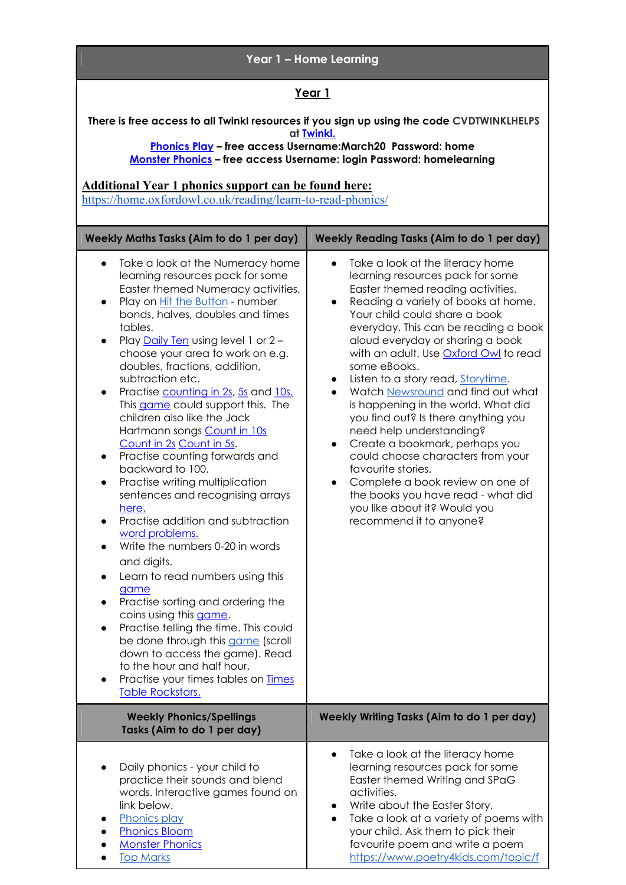| Year 1 - Home Learning                                                                                                                                                                                                                                                                                                                                                                                                                                                                                                                                                                                                                                                                                                                                                                                                                                                                                                                                                                                                                                                                                                                                                    |                                                                                                                                                                                                                                                                                                                                                                                                                                                                                                                                                                                                                                                                                                                                                                                                          |
|---------------------------------------------------------------------------------------------------------------------------------------------------------------------------------------------------------------------------------------------------------------------------------------------------------------------------------------------------------------------------------------------------------------------------------------------------------------------------------------------------------------------------------------------------------------------------------------------------------------------------------------------------------------------------------------------------------------------------------------------------------------------------------------------------------------------------------------------------------------------------------------------------------------------------------------------------------------------------------------------------------------------------------------------------------------------------------------------------------------------------------------------------------------------------|----------------------------------------------------------------------------------------------------------------------------------------------------------------------------------------------------------------------------------------------------------------------------------------------------------------------------------------------------------------------------------------------------------------------------------------------------------------------------------------------------------------------------------------------------------------------------------------------------------------------------------------------------------------------------------------------------------------------------------------------------------------------------------------------------------|
| <u>Year 1</u>                                                                                                                                                                                                                                                                                                                                                                                                                                                                                                                                                                                                                                                                                                                                                                                                                                                                                                                                                                                                                                                                                                                                                             |                                                                                                                                                                                                                                                                                                                                                                                                                                                                                                                                                                                                                                                                                                                                                                                                          |
| There is free access to all Twinkl resources if you sign up using the code CVDTWINKLHELPS<br>at Twinkl.<br><b>Phonics Play - free access Username:March20 Password: home</b><br>Monster Phonics - free access Username: login Password: homelearning<br><b>Additional Year 1 phonics support can be found here:</b><br>https://home.oxfordowl.co.uk/reading/learn-to-read-phonics/                                                                                                                                                                                                                                                                                                                                                                                                                                                                                                                                                                                                                                                                                                                                                                                        |                                                                                                                                                                                                                                                                                                                                                                                                                                                                                                                                                                                                                                                                                                                                                                                                          |
| Weekly Maths Tasks (Aim to do 1 per day)                                                                                                                                                                                                                                                                                                                                                                                                                                                                                                                                                                                                                                                                                                                                                                                                                                                                                                                                                                                                                                                                                                                                  | <b>Weekly Reading Tasks (Aim to do 1 per day)</b>                                                                                                                                                                                                                                                                                                                                                                                                                                                                                                                                                                                                                                                                                                                                                        |
| Take a look at the Numeracy home<br>$\bullet$<br>learning resources pack for some<br>Easter themed Numeracy activities.<br>Play on <b>Hit the Button</b> - number<br>$\bullet$<br>bonds, halves, doubles and times<br>tables.<br>Play Daily Ten using level 1 or 2 -<br>$\bullet$<br>choose your area to work on e.g.<br>doubles, fractions, addition,<br>subtraction etc.<br>Practise counting in 2s, 5s and 10s.<br>$\bullet$<br>This game could support this. The<br>children also like the Jack<br>Hartmann songs Count in 10s<br>Count in 2s Count in 5s.<br>Practise counting forwards and<br>$\bullet$<br>backward to 100.<br>Practise writing multiplication<br>$\bullet$<br>sentences and recognising arrays<br>here.<br>Practise addition and subtraction<br>word problems.<br>Write the numbers 0-20 in words<br>and digits.<br>Learn to read numbers using this<br>game<br>Practise sorting and ordering the<br>coins using this game.<br>Practise telling the time. This could<br>be done through this game (scroll<br>down to access the game). Read<br>to the hour and half hour.<br>Practise your times tables on <b>Times</b><br><b>Table Rockstars.</b> | Take a look at the literacy home<br>$\bullet$<br>learning resources pack for some<br>Easter themed reading activities.<br>Reading a variety of books at home.<br>$\bullet$<br>Your child could share a book<br>everyday. This can be reading a book<br>aloud everyday or sharing a book<br>with an adult. Use <b>Oxford Owl</b> to read<br>some eBooks.<br>Listen to a story read, Storytime.<br>Watch Newsround and find out what<br>is happening in the world. What did<br>you find out? Is there anything you<br>need help understanding?<br>Create a bookmark, perhaps you<br>$\bullet$<br>could choose characters from your<br>favourite stories.<br>Complete a book review on one of<br>$\bullet$<br>the books you have read - what did<br>you like about it? Would you<br>recommend it to anyone? |
| <b>Weekly Phonics/Spellings</b><br>Tasks (Aim to do 1 per day)                                                                                                                                                                                                                                                                                                                                                                                                                                                                                                                                                                                                                                                                                                                                                                                                                                                                                                                                                                                                                                                                                                            | Weekly Writing Tasks (Aim to do 1 per day)                                                                                                                                                                                                                                                                                                                                                                                                                                                                                                                                                                                                                                                                                                                                                               |
| Daily phonics - your child to<br>practice their sounds and blend<br>words. Interactive games found on<br>link below.<br>Phonics play<br><b>Phonics Bloom</b><br><b>Monster Phonics</b><br><b>Top Marks</b>                                                                                                                                                                                                                                                                                                                                                                                                                                                                                                                                                                                                                                                                                                                                                                                                                                                                                                                                                                | Take a look at the literacy home<br>$\bullet$<br>learning resources pack for some<br>Easter themed Writing and SPaG<br>activities.<br>Write about the Easter Story.<br>Take a look at a variety of poems with<br>$\bullet$<br>your child. Ask them to pick their<br>favourite poem and write a poem<br>https://www.poetry4kids.com/topic/f                                                                                                                                                                                                                                                                                                                                                                                                                                                               |

 $\overline{\phantom{a}}$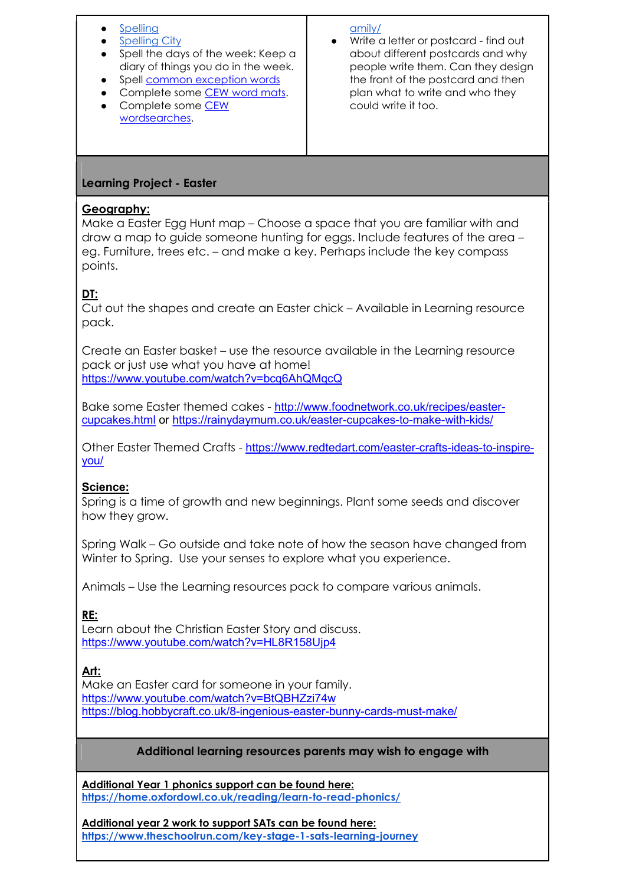## Spelling

- **Spelling City**
- Spell the days of the week: Keep a diary of things you do in the week.
- Spell common exception words
- **Complete some CEW word mats.**
- Complete some CEW wordsearches.

#### amily/

● Write a letter or postcard - find out about different postcards and why people write them. Can they design the front of the postcard and then plan what to write and who they could write it too.

## Learning Project - Easter

## Geography:

Make a Easter Egg Hunt map – Choose a space that you are familiar with and draw a map to guide someone hunting for eggs. Include features of the area – eg. Furniture, trees etc. – and make a key. Perhaps include the key compass points.

# DT:

Cut out the shapes and create an Easter chick – Available in Learning resource pack.

Create an Easter basket – use the resource available in the Learning resource pack or just use what you have at home! https://www.youtube.com/watch?v=bcq6AhQMqcQ

Bake some Easter themed cakes - http://www.foodnetwork.co.uk/recipes/eastercupcakes.html or https://rainydaymum.co.uk/easter-cupcakes-to-make-with-kids/

Other Easter Themed Crafts - https://www.redtedart.com/easter-crafts-ideas-to-inspireyou/

## Science:

Spring is a time of growth and new beginnings. Plant some seeds and discover how they grow.

Spring Walk – Go outside and take note of how the season have changed from Winter to Spring. Use your senses to explore what you experience.

Animals – Use the Learning resources pack to compare various animals.

RE:

Learn about the Christian Easter Story and discuss. https://www.youtube.com/watch?v=HL8R158Ujp4

## Art:

Make an Easter card for someone in your family. https://www.youtube.com/watch?v=BtQBHZzi74w https://blog.hobbycraft.co.uk/8-ingenious-easter-bunny-cards-must-make/

## Additional learning resources parents may wish to engage with

Additional Year 1 phonics support can be found here: https://home.oxfordowl.co.uk/reading/learn-to-read-phonics/

Additional year 2 work to support SATs can be found here: https://www.theschoolrun.com/key-stage-1-sats-learning-journey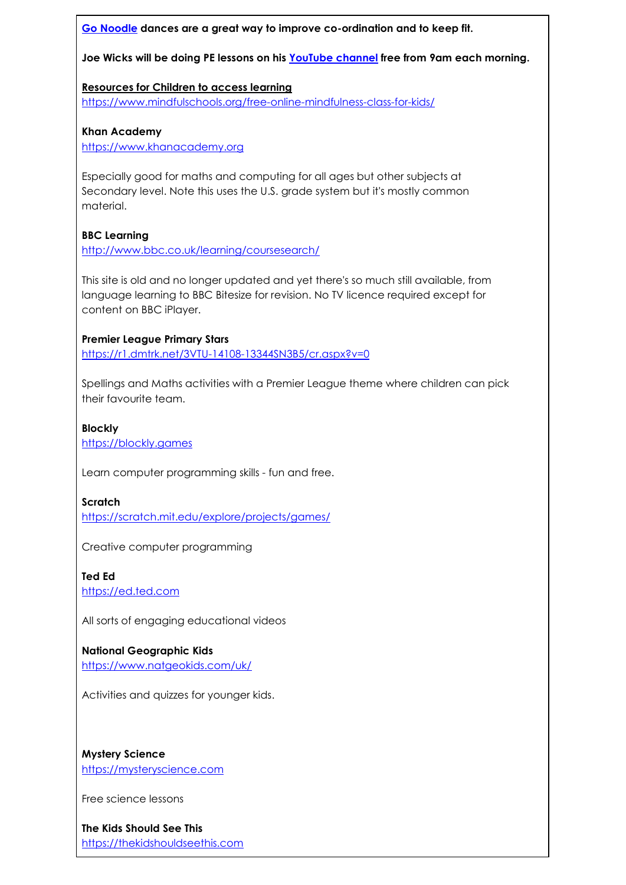#### Go Noodle dances are a great way to improve co-ordination and to keep fit.

Joe Wicks will be doing PE lessons on his YouTube channel free from 9am each morning.

#### Resources for Children to access learning https://www.mindfulschools.org/free-online-mindfulness-class-for-kids/

Khan Academy

https://www.khanacademy.org

Especially good for maths and computing for all ages but other subjects at Secondary level. Note this uses the U.S. grade system but it's mostly common material.

## BBC Learning

http://www.bbc.co.uk/learning/coursesearch/

This site is old and no longer updated and yet there's so much still available, from language learning to BBC Bitesize for revision. No TV licence required except for content on BBC iPlayer.

## Premier League Primary Stars

https://r1.dmtrk.net/3VTU-14108-13344SN3B5/cr.aspx?v=0

Spellings and Maths activities with a Premier League theme where children can pick their favourite team.

## Blockly https://blockly.games

Learn computer programming skills - fun and free.

Scratch

https://scratch.mit.edu/explore/projects/games/

Creative computer programming

Ted Ed https://ed.ted.com

All sorts of engaging educational videos

#### National Geographic Kids https://www.natgeokids.com/uk/

Activities and quizzes for younger kids.

Mystery Science https://mysteryscience.com

Free science lessons

The Kids Should See This https://thekidshouldseethis.com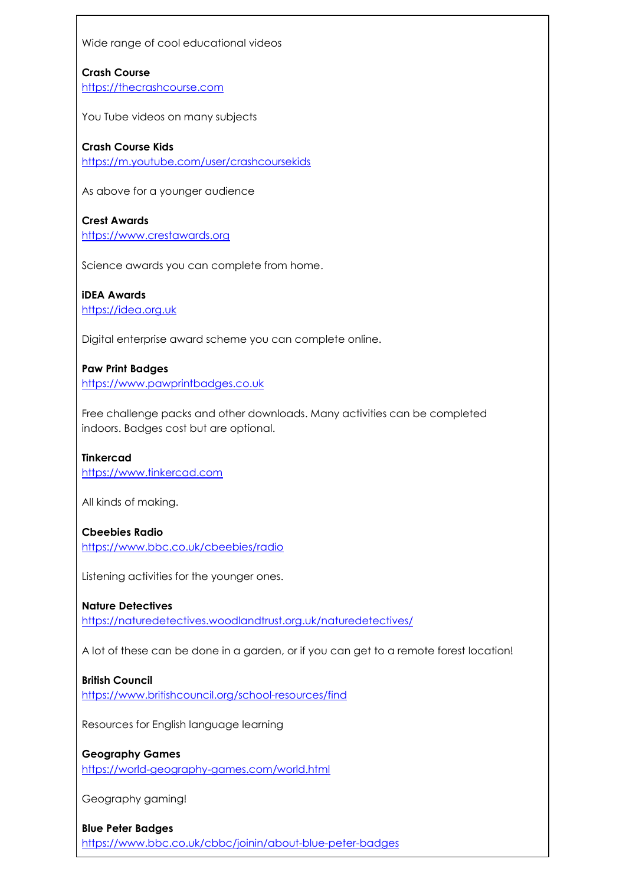Wide range of cool educational videos

Crash Course https://thecrashcourse.com

You Tube videos on many subjects

#### Crash Course Kids

https://m.youtube.com/user/crashcoursekids

As above for a younger audience

Crest Awards https://www.crestawards.org

Science awards you can complete from home.

iDEA Awards https://idea.org.uk

Digital enterprise award scheme you can complete online.

Paw Print Badges https://www.pawprintbadges.co.uk

Free challenge packs and other downloads. Many activities can be completed indoors. Badges cost but are optional.

Tinkercad https://www.tinkercad.com

All kinds of making.

#### Cbeebies Radio

https://www.bbc.co.uk/cbeebies/radio

Listening activities for the younger ones.

#### Nature Detectives

https://naturedetectives.woodlandtrust.org.uk/naturedetectives/

A lot of these can be done in a garden, or if you can get to a remote forest location!

#### British Council

https://www.britishcouncil.org/school-resources/find

Resources for English language learning

## Geography Games

https://world-geography-games.com/world.html

Geography gaming!

Blue Peter Badges https://www.bbc.co.uk/cbbc/joinin/about-blue-peter-badges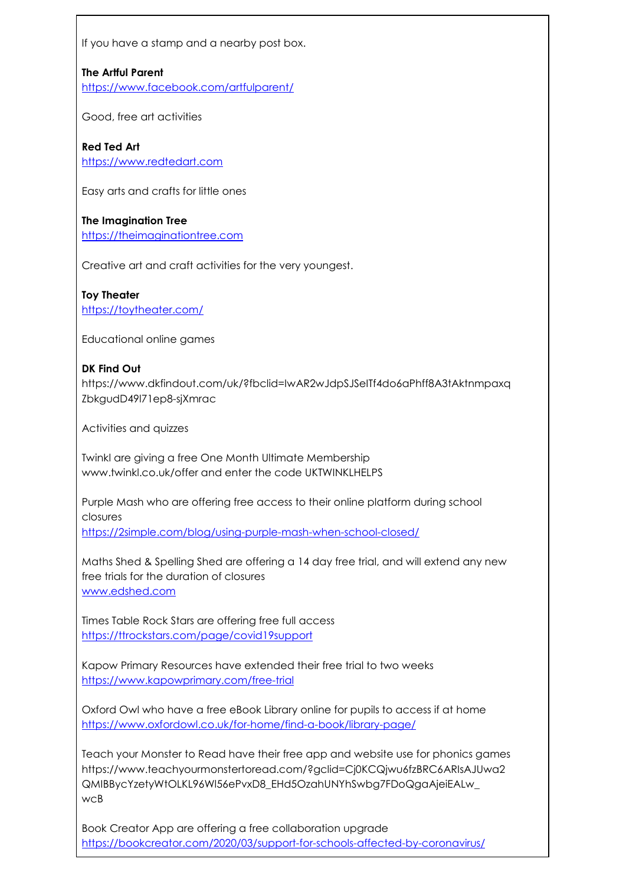If you have a stamp and a nearby post box.

## The Artful Parent

https://www.facebook.com/artfulparent/

Good, free art activities

## Red Ted Art

https://www.redtedart.com

Easy arts and crafts for little ones

# The Imagination Tree

https://theimaginationtree.com

Creative art and craft activities for the very youngest.

#### Toy Theater https://toytheater.com/

Educational online games

## DK Find Out

https://www.dkfindout.com/uk/?fbclid=IwAR2wJdpSJSeITf4do6aPhff8A3tAktnmpaxq ZbkgudD49l71ep8-sjXmrac

Activities and quizzes

Twinkl are giving a free One Month Ultimate Membership www.twinkl.co.uk/offer and enter the code UKTWINKLHELPS

Purple Mash who are offering free access to their online platform during school closures

https://2simple.com/blog/using-purple-mash-when-school-closed/

Maths Shed & Spelling Shed are offering a 14 day free trial, and will extend any new free trials for the duration of closures www.edshed.com

Times Table Rock Stars are offering free full access https://ttrockstars.com/page/covid19support

Kapow Primary Resources have extended their free trial to two weeks https://www.kapowprimary.com/free-trial

Oxford Owl who have a free eBook Library online for pupils to access if at home https://www.oxfordowl.co.uk/for-home/find-a-book/library-page/

Teach your Monster to Read have their free app and website use for phonics games https://www.teachyourmonstertoread.com/?gclid=Cj0KCQjwu6fzBRC6ARIsAJUwa2 QMIBBycYzetyWtOLKL96Wl56ePvxD8\_EHd5OzahUNYhSwbg7FDoQgaAjeiEALw\_ wcB

Book Creator App are offering a free collaboration upgrade https://bookcreator.com/2020/03/support-for-schools-affected-by-coronavirus/